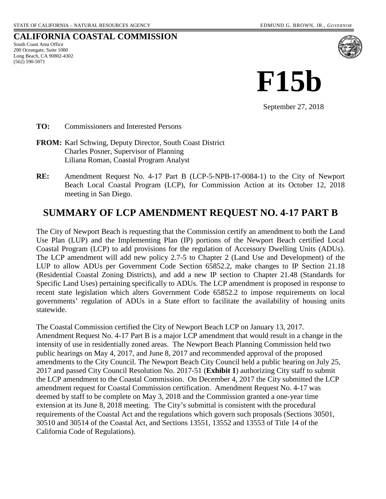#### **CALIFORNIA COASTAL COMMISSION**

South Coast Area Office 200 Oceangate, Suite 1000 Long Beach, CA 90802-4302 (562) 590-5071



**F15b**

September 27, 2018

- **TO:** Commissioners and Interested Persons
- **FROM:** Karl Schwing, Deputy Director, South Coast District Charles Posner, Supervisor of Planning Liliana Roman, Coastal Program Analyst
- **RE:** Amendment Request No. 4-17 Part B (LCP-5-NPB-17-0084-1) to the City of Newport Beach Local Coastal Program (LCP), for Commission Action at its October 12, 2018 meeting in San Diego.

### **SUMMARY OF LCP AMENDMENT REQUEST NO. 4-17 PART B**

The City of Newport Beach is requesting that the Commission certify an amendment to both the Land Use Plan (LUP) and the Implementing Plan (IP) portions of the Newport Beach certified Local Coastal Program (LCP) to add provisions for the regulation of Accessory Dwelling Units (ADUs). The LCP amendment will add new policy 2.7-5 to Chapter 2 (Land Use and Development) of the LUP to allow ADUs per Government Code Section 65852.2, make changes to IP Section 21.18 (Residential Coastal Zoning Districts), and add a new IP section to Chapter 21.48 (Standards for Specific Land Uses) pertaining specifically to ADUs. The LCP amendment is proposed in response to recent state legislation which alters Government Code 65852.2 to impose requirements on local governments' regulation of ADUs in a State effort to facilitate the availability of housing units statewide.

The Coastal Commission certified the City of Newport Beach LCP on January 13, 2017. Amendment Request No. 4-17 Part B is a major LCP amendment that would result in a change in the intensity of use in residentially zoned areas. The Newport Beach Planning Commission held two public hearings on May 4, 2017, and June 8, 2017 and recommended approval of the proposed amendments to the City Council. The Newport Beach City Council held a public hearing on July 25, 2017 and passed City Council Resolution No. 2017-51 (**Exhibit 1**) authorizing City staff to submit the LCP amendment to the Coastal Commission. On December 4, 2017 the City submitted the LCP amendment request for Coastal Commission certification. Amendment Request No. 4-17 was deemed by staff to be complete on May 3, 2018 and the Commission granted a one-year time extension at its June 8, 2018 meeting. The City's submittal is consistent with the procedural requirements of the Coastal Act and the regulations which govern such proposals (Sections 30501, 30510 and 30514 of the Coastal Act, and Sections 13551, 13552 and 13553 of Title 14 of the California Code of Regulations).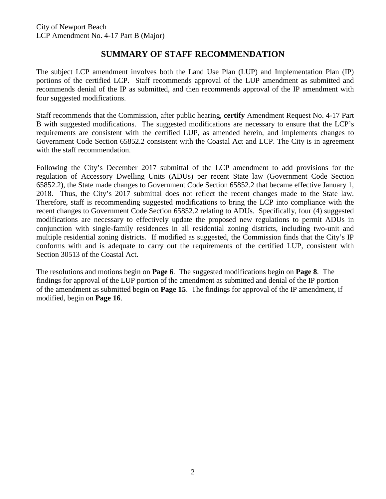### **SUMMARY OF STAFF RECOMMENDATION**

The subject LCP amendment involves both the Land Use Plan (LUP) and Implementation Plan (IP) portions of the certified LCP. Staff recommends approval of the LUP amendment as submitted and recommends denial of the IP as submitted, and then recommends approval of the IP amendment with four suggested modifications.

Staff recommends that the Commission, after public hearing, **certify** Amendment Request No. 4-17 Part B with suggested modifications. The suggested modifications are necessary to ensure that the LCP's requirements are consistent with the certified LUP, as amended herein, and implements changes to Government Code Section 65852.2 consistent with the Coastal Act and LCP. The City is in agreement with the staff recommendation.

Following the City's December 2017 submittal of the LCP amendment to add provisions for the regulation of Accessory Dwelling Units (ADUs) per recent State law (Government Code Section 65852.2), the State made changes to Government Code Section 65852.2 that became effective January 1, 2018. Thus, the City's 2017 submittal does not reflect the recent changes made to the State law. Therefore, staff is recommending suggested modifications to bring the LCP into compliance with the recent changes to Government Code Section 65852.2 relating to ADUs. Specifically, four (4) suggested modifications are necessary to effectively update the proposed new regulations to permit ADUs in conjunction with single-family residences in all residential zoning districts, including two-unit and multiple residential zoning districts. If modified as suggested, the Commission finds that the City's IP conforms with and is adequate to carry out the requirements of the certified LUP, consistent with Section 30513 of the Coastal Act.

The resolutions and motions begin on **Page 6**. The suggested modifications begin on **Page 8**. The findings for approval of the LUP portion of the amendment as submitted and denial of the IP portion of the amendment as submitted begin on **Page 15**. The findings for approval of the IP amendment, if modified, begin on **Page 16**.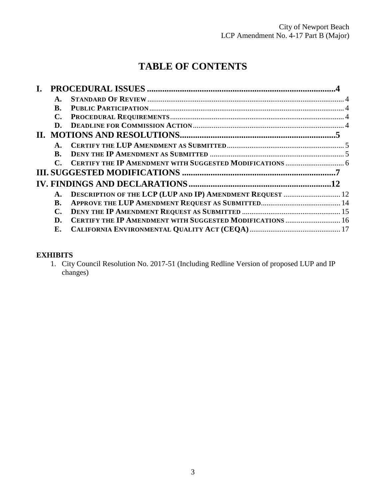# **TABLE OF CONTENTS**

| A.          |                                                                  |  |
|-------------|------------------------------------------------------------------|--|
| <b>B.</b>   |                                                                  |  |
| <b>C.</b>   |                                                                  |  |
| D.          |                                                                  |  |
|             |                                                                  |  |
| A.          |                                                                  |  |
| B.          |                                                                  |  |
| $\mathbf C$ |                                                                  |  |
|             |                                                                  |  |
|             |                                                                  |  |
| A.          | DESCRIPTION OF THE LCP (LUP AND IP) AMENDMENT REQUEST  12        |  |
| <b>B.</b>   |                                                                  |  |
| С.          |                                                                  |  |
| D.          | <b>CERTIFY THE IP AMENDMENT WITH SUGGESTED MODIFICATIONS  16</b> |  |
| Е.          |                                                                  |  |

#### **EXHIBITS**

1. City Council Resolution No. 2017-51 (Including Redline Version of proposed LUP and IP changes)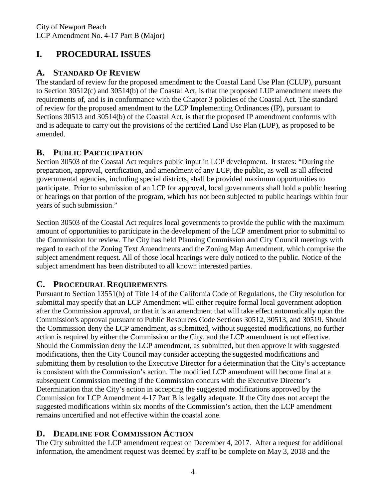# <span id="page-3-0"></span>**I. PROCEDURAL ISSUES**

# <span id="page-3-1"></span>**A. STANDARD OF REVIEW**

The standard of review for the proposed amendment to the Coastal Land Use Plan (CLUP), pursuant to Section 30512(c) and 30514(b) of the Coastal Act, is that the proposed LUP amendment meets the requirements of, and is in conformance with the Chapter 3 policies of the Coastal Act. The standard of review for the proposed amendment to the LCP Implementing Ordinances (IP), pursuant to Sections 30513 and 30514(b) of the Coastal Act, is that the proposed IP amendment conforms with and is adequate to carry out the provisions of the certified Land Use Plan (LUP), as proposed to be amended.

# <span id="page-3-2"></span>**B. PUBLIC PARTICIPATION**

Section 30503 of the Coastal Act requires public input in LCP development. It states: "During the preparation, approval, certification, and amendment of any LCP, the public, as well as all affected governmental agencies, including special districts, shall be provided maximum opportunities to participate. Prior to submission of an LCP for approval, local governments shall hold a public hearing or hearings on that portion of the program, which has not been subjected to public hearings within four years of such submission."

Section 30503 of the Coastal Act requires local governments to provide the public with the maximum amount of opportunities to participate in the development of the LCP amendment prior to submittal to the Commission for review. The City has held Planning Commission and City Council meetings with regard to each of the Zoning Text Amendments and the Zoning Map Amendment, which comprise the subject amendment request. All of those local hearings were duly noticed to the public. Notice of the subject amendment has been distributed to all known interested parties.

### <span id="page-3-3"></span>**C. PROCEDURAL REQUIREMENTS**

Pursuant to Section 13551(b) of Title 14 of the California Code of Regulations, the City resolution for submittal may specify that an LCP Amendment will either require formal local government adoption after the Commission approval, or that it is an amendment that will take effect automatically upon the Commission's approval pursuant to Public Resources Code Sections 30512, 30513, and 30519. Should the Commission deny the LCP amendment, as submitted, without suggested modifications, no further action is required by either the Commission or the City, and the LCP amendment is not effective. Should the Commission deny the LCP amendment, as submitted, but then approve it with suggested modifications, then the City Council may consider accepting the suggested modifications and submitting them by resolution to the Executive Director for a determination that the City's acceptance is consistent with the Commission's action. The modified LCP amendment will become final at a subsequent Commission meeting if the Commission concurs with the Executive Director's Determination that the City's action in accepting the suggested modifications approved by the Commission for LCP Amendment 4-17 Part B is legally adequate. If the City does not accept the suggested modifications within six months of the Commission's action, then the LCP amendment remains uncertified and not effective within the coastal zone.

# <span id="page-3-4"></span>**D. DEADLINE FOR COMMISSION ACTION**

The City submitted the LCP amendment request on December 4, 2017. After a request for additional information, the amendment request was deemed by staff to be complete on May 3, 2018 and the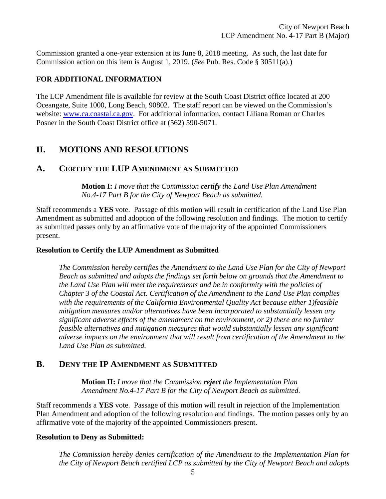Commission granted a one-year extension at its June 8, 2018 meeting. As such, the last date for Commission action on this item is August 1, 2019. (*See* Pub. Res. Code § 30511(a).)

#### **FOR ADDITIONAL INFORMATION**

The LCP Amendment file is available for review at the South Coast District office located at 200 Oceangate, Suite 1000, Long Beach, 90802. The staff report can be viewed on the Commission's website: [www.ca.coastal.ca.gov.](http://www.ca.coastal.ca.gov/) For additional information, contact Liliana Roman or Charles Posner in the South Coast District office at (562) 590-5071.

# <span id="page-4-0"></span>**II. MOTIONS AND RESOLUTIONS**

#### <span id="page-4-1"></span>**A. CERTIFY THE LUP AMENDMENT AS SUBMITTED**

**Motion I:** *I move that the Commission certify the Land Use Plan Amendment No.4-17 Part B for the City of Newport Beach as submitted.*

Staff recommends a **YES** vote. Passage of this motion will result in certification of the Land Use Plan Amendment as submitted and adoption of the following resolution and findings. The motion to certify as submitted passes only by an affirmative vote of the majority of the appointed Commissioners present.

#### **Resolution to Certify the LUP Amendment as Submitted**

*The Commission hereby certifies the Amendment to the Land Use Plan for the City of Newport Beach as submitted and adopts the findings set forth below on grounds that the Amendment to the Land Use Plan will meet the requirements and be in conformity with the policies of Chapter 3 of the Coastal Act. Certification of the Amendment to the Land Use Plan complies with the requirements of the California Environmental Quality Act because either 1)feasible mitigation measures and/or alternatives have been incorporated to substantially lessen any significant adverse effects of the amendment on the environment, or 2) there are no further feasible alternatives and mitigation measures that would substantially lessen any significant adverse impacts on the environment that will result from certification of the Amendment to the Land Use Plan as submitted.*

#### <span id="page-4-2"></span>**B. DENY THE IP AMENDMENT AS SUBMITTED**

**Motion II:** *I move that the Commission reject the Implementation Plan Amendment No.4-17 Part B for the City of Newport Beach as submitted.*

Staff recommends a **YES** vote. Passage of this motion will result in rejection of the Implementation Plan Amendment and adoption of the following resolution and findings. The motion passes only by an affirmative vote of the majority of the appointed Commissioners present.

#### **Resolution to Deny as Submitted:**

*The Commission hereby denies certification of the Amendment to the Implementation Plan for the City of Newport Beach certified LCP as submitted by the City of Newport Beach and adopts*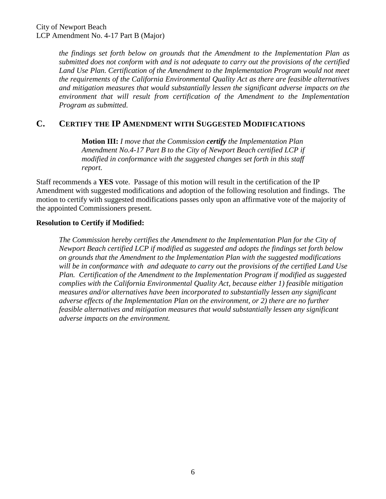*the findings set forth below on grounds that the Amendment to the Implementation Plan as submitted does not conform with and is not adequate to carry out the provisions of the certified*  Land Use Plan. Certification of the Amendment to the Implementation Program would not meet *the requirements of the California Environmental Quality Act as there are feasible alternatives and mitigation measures that would substantially lessen the significant adverse impacts on the environment that will result from certification of the Amendment to the Implementation Program as submitted.*

#### <span id="page-5-0"></span>**C. CERTIFY THE IP AMENDMENT WITH SUGGESTED MODIFICATIONS**

**Motion III:** *I move that the Commission certify the Implementation Plan Amendment No.4-17 Part B to the City of Newport Beach certified LCP if modified in conformance with the suggested changes set forth in this staff report.*

Staff recommends a **YES** vote. Passage of this motion will result in the certification of the IP Amendment with suggested modifications and adoption of the following resolution and findings. The motion to certify with suggested modifications passes only upon an affirmative vote of the majority of the appointed Commissioners present.

#### **Resolution to Certify if Modified:**

*The Commission hereby certifies the Amendment to the Implementation Plan for the City of Newport Beach certified LCP if modified as suggested and adopts the findings set forth below on grounds that the Amendment to the Implementation Plan with the suggested modifications will be in conformance with and adequate to carry out the provisions of the certified Land Use Plan. Certification of the Amendment to the Implementation Program if modified as suggested complies with the California Environmental Quality Act, because either 1) feasible mitigation measures and/or alternatives have been incorporated to substantially lessen any significant adverse effects of the Implementation Plan on the environment, or 2) there are no further feasible alternatives and mitigation measures that would substantially lessen any significant adverse impacts on the environment.*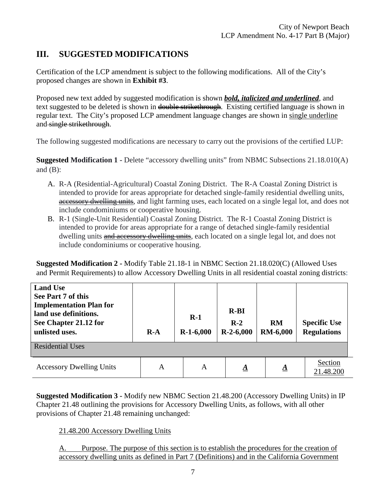# <span id="page-6-0"></span>**III. SUGGESTED MODIFICATIONS**

Certification of the LCP amendment is subject to the following modifications. All of the City's proposed changes are shown in **Exhibit #3**.

Proposed new text added by suggested modification is shown *bold, italicized and underlined*, and text suggested to be deleted is shown in <del>double strikethrough</del>. Existing certified language is shown in regular text. The City's proposed LCP amendment language changes are shown in single underline and single strikethrough.

The following suggested modifications are necessary to carry out the provisions of the certified LUP:

**Suggested Modification 1 -** Delete "accessory dwelling units" from NBMC Subsections 21.18.010(A) and  $(B)$ :

- A. R-A (Residential-Agricultural) Coastal Zoning District. The R-A Coastal Zoning District is intended to provide for areas appropriate for detached single-family residential dwelling units, accessory dwelling units, and light farming uses, each located on a single legal lot, and does not include condominiums or cooperative housing.
- B. R-1 (Single-Unit Residential) Coastal Zoning District. The R-1 Coastal Zoning District is intended to provide for areas appropriate for a range of detached single-family residential dwelling units and accessory dwelling units, each located on a single legal lot, and does not include condominiums or cooperative housing.

**Suggested Modification 2 -** Modify Table 21.18-1 in NBMC Section 21.18.020(C) (Allowed Uses and Permit Requirements) to allow Accessory Dwelling Units in all residential coastal zoning districts:

| <b>Land Use</b><br>See Part 7 of this<br><b>Implementation Plan for</b><br>land use definitions.<br>See Chapter 21.12 for<br>unlisted uses. | $R-A$ | $R-1$<br>$R-1-6,000$ | $R-BI$<br>$R-2$<br>$R-2-6,000$ | <b>RM</b><br><b>RM-6,000</b> | <b>Specific Use</b><br><b>Regulations</b> |  |  |  |  |
|---------------------------------------------------------------------------------------------------------------------------------------------|-------|----------------------|--------------------------------|------------------------------|-------------------------------------------|--|--|--|--|
| <b>Residential Uses</b>                                                                                                                     |       |                      |                                |                              |                                           |  |  |  |  |
| <b>Accessory Dwelling Units</b>                                                                                                             | A     | A                    | $\Delta$                       | <u>A</u>                     | Section<br>21.48.200                      |  |  |  |  |

**Suggested Modification 3 -** Modify new NBMC Section 21.48.200 (Accessory Dwelling Units) in IP Chapter 21.48 outlining the provisions for Accessory Dwelling Units, as follows, with all other provisions of Chapter 21.48 remaining unchanged:

21.48.200 Accessory Dwelling Units

A. Purpose. The purpose of this section is to establish the procedures for the creation of accessory dwelling units as defined in Part 7 (Definitions) and in the California Government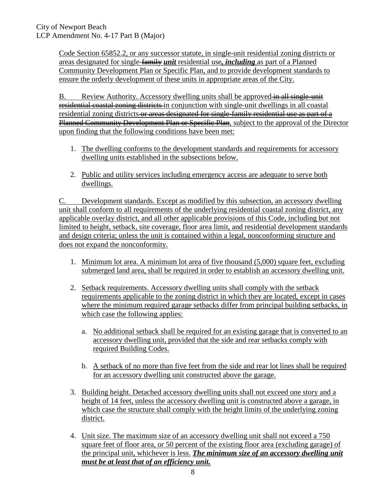Code Section 65852.2, or any successor statute, in single-unit residential zoning districts or areas designated for single-family *unit* residential use*, including* as part of a Planned Community Development Plan or Specific Plan, and to provide development standards to ensure the orderly development of these units in appropriate areas of the City.

B. Review Authority. Accessory dwelling units shall be approved in all single-unit residential coastal zoning districts in conjunction with single-unit dwellings in all coastal residential zoning districts or areas designated for single-family residential use as part of a Planned Community Development Plan or Specific Plan, subject to the approval of the Director upon finding that the following conditions have been met:

- 1. The dwelling conforms to the development standards and requirements for accessory dwelling units established in the subsections below.
- 2. Public and utility services including emergency access are adequate to serve both dwellings.

C. Development standards. Except as modified by this subsection, an accessory dwelling unit shall conform to all requirements of the underlying residential coastal zoning district, any applicable overlay district, and all other applicable provisions of this Code, including but not limited to height, setback, site coverage, floor area limit, and residential development standards and design criteria; unless the unit is contained within a legal, nonconforming structure and does not expand the nonconformity.

- 1. Minimum lot area. A minimum lot area of five thousand (5,000) square feet, excluding submerged land area, shall be required in order to establish an accessory dwelling unit.
- 2. Setback requirements. Accessory dwelling units shall comply with the setback requirements applicable to the zoning district in which they are located, except in cases where the minimum required garage setbacks differ from principal building setbacks, in which case the following applies:
	- a. No additional setback shall be required for an existing garage that is converted to an accessory dwelling unit, provided that the side and rear setbacks comply with required Building Codes.
	- b. A setback of no more than five feet from the side and rear lot lines shall be required for an accessory dwelling unit constructed above the garage.
- 3. Building height. Detached accessory dwelling units shall not exceed one story and a height of 14 feet, unless the accessory dwelling unit is constructed above a garage, in which case the structure shall comply with the height limits of the underlying zoning district.
- 4. Unit size. The maximum size of an accessory dwelling unit shall not exceed a 750 square feet of floor area, or 50 percent of the existing floor area (excluding garage) of the principal unit, whichever is less. *The minimum size of an accessory dwelling unit must be at least that of an efficiency unit.*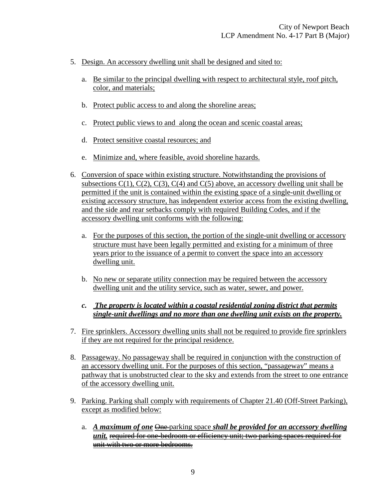- 5. Design. An accessory dwelling unit shall be designed and sited to:
	- a. Be similar to the principal dwelling with respect to architectural style, roof pitch, color, and materials;
	- b. Protect public access to and along the shoreline areas;
	- c. Protect public views to and along the ocean and scenic coastal areas;
	- d. Protect sensitive coastal resources; and
	- e. Minimize and, where feasible, avoid shoreline hazards.
- 6. Conversion of space within existing structure. Notwithstanding the provisions of subsections  $C(1)$ ,  $C(2)$ ,  $C(3)$ ,  $C(4)$  and  $C(5)$  above, an accessory dwelling unit shall be permitted if the unit is contained within the existing space of a single-unit dwelling or existing accessory structure, has independent exterior access from the existing dwelling, and the side and rear setbacks comply with required Building Codes, and if the accessory dwelling unit conforms with the following:
	- a. For the purposes of this section, the portion of the single-unit dwelling or accessory structure must have been legally permitted and existing for a minimum of three years prior to the issuance of a permit to convert the space into an accessory dwelling unit.
	- b. No new or separate utility connection may be required between the accessory dwelling unit and the utility service, such as water, sewer, and power.
	- *c. The property is located within a coastal residential zoning district that permits single-unit dwellings and no more than one dwelling unit exists on the property.*
- 7. Fire sprinklers. Accessory dwelling units shall not be required to provide fire sprinklers if they are not required for the principal residence.
- 8. Passageway. No passageway shall be required in conjunction with the construction of an accessory dwelling unit. For the purposes of this section, "passageway" means a pathway that is unobstructed clear to the sky and extends from the street to one entrance of the accessory dwelling unit.
- 9. Parking. Parking shall comply with requirements of Chapter 21.40 (Off-Street Parking), except as modified below:
	- a. *A maximum of one*  $\Theta$  ne parking space *shall be provided for an accessory dwelling unit.* required for one-bedroom or efficiency unit; two parking spaces required for unit with two or more bedrooms.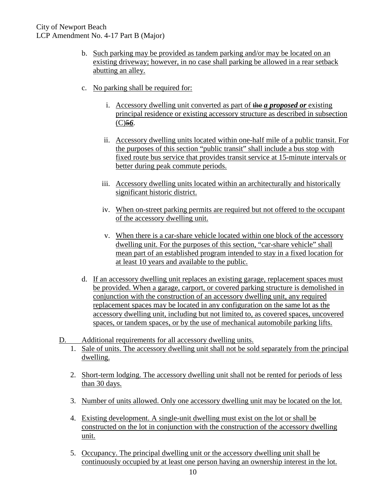- b. Such parking may be provided as tandem parking and/or may be located on an existing driveway; however, in no case shall parking be allowed in a rear setback abutting an alley.
- c. No parking shall be required for:
	- i. Accessory dwelling unit converted as part of **the** *a* proposed or existing principal residence or existing accessory structure as described in subsection  $(C)$ <sup>56</sup>.
	- ii. Accessory dwelling units located within one-half mile of a public transit. For the purposes of this section "public transit" shall include a bus stop with fixed route bus service that provides transit service at 15-minute intervals or better during peak commute periods.
	- iii. Accessory dwelling units located within an architecturally and historically significant historic district.
	- iv. When on-street parking permits are required but not offered to the occupant of the accessory dwelling unit.
	- v. When there is a car-share vehicle located within one block of the accessory dwelling unit. For the purposes of this section, "car-share vehicle" shall mean part of an established program intended to stay in a fixed location for at least 10 years and available to the public.
- d. If an accessory dwelling unit replaces an existing garage, replacement spaces must be provided. When a garage, carport, or covered parking structure is demolished in conjunction with the construction of an accessory dwelling unit, any required replacement spaces may be located in any configuration on the same lot as the accessory dwelling unit, including but not limited to, as covered spaces, uncovered spaces, or tandem spaces, or by the use of mechanical automobile parking lifts.
- D. Additional requirements for all accessory dwelling units.
	- 1. Sale of units. The accessory dwelling unit shall not be sold separately from the principal dwelling.
	- 2. Short-term lodging. The accessory dwelling unit shall not be rented for periods of less than 30 days.
	- 3. Number of units allowed. Only one accessory dwelling unit may be located on the lot.
	- 4. Existing development. A single-unit dwelling must exist on the lot or shall be constructed on the lot in conjunction with the construction of the accessory dwelling unit.
	- 5. Occupancy. The principal dwelling unit or the accessory dwelling unit shall be continuously occupied by at least one person having an ownership interest in the lot.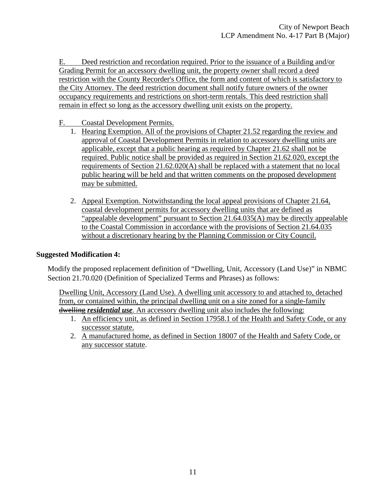E. Deed restriction and recordation required. Prior to the issuance of a Building and/or Grading Permit for an accessory dwelling unit, the property owner shall record a deed restriction with the County Recorder's Office, the form and content of which is satisfactory to the City Attorney. The deed restriction document shall notify future owners of the owner occupancy requirements and restrictions on short-term rentals. This deed restriction shall remain in effect so long as the accessory dwelling unit exists on the property.

#### F. Coastal Development Permits.

- 1. Hearing Exemption. All of the provisions of Chapter 21.52 regarding the review and approval of Coastal Development Permits in relation to accessory dwelling units are applicable, except that a public hearing as required by Chapter 21.62 shall not be required. Public notice shall be provided as required in Section 21.62.020, except the requirements of Section 21.62.020(A) shall be replaced with a statement that no local public hearing will be held and that written comments on the proposed development may be submitted.
- 2. Appeal Exemption. Notwithstanding the local appeal provisions of Chapter 21.64, coastal development permits for accessory dwelling units that are defined as "appealable development" pursuant to Section 21.64.035(A) may be directly appealable to the Coastal Commission in accordance with the provisions of Section 21.64.035 without a discretionary hearing by the Planning Commission or City Council.

#### **Suggested Modification 4:**

Modify the proposed replacement definition of "Dwelling, Unit, Accessory (Land Use)" in NBMC Section 21.70.020 (Definition of Specialized Terms and Phrases) as follows:

Dwelling Unit, Accessory (Land Use). A dwelling unit accessory to and attached to, detached from, or contained within, the principal dwelling unit on a site zoned for a single-family dwelling *residential use*. An accessory dwelling unit also includes the following:

- 1. An efficiency unit, as defined in Section 17958.1 of the Health and Safety Code, or any successor statute.
- 2. A manufactured home, as defined in Section 18007 of the Health and Safety Code, or any successor statute.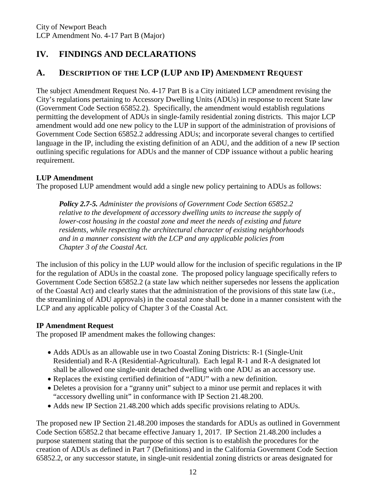# <span id="page-11-0"></span>**IV. FINDINGS AND DECLARATIONS**

# <span id="page-11-1"></span>**A. DESCRIPTION OF THE LCP (LUP AND IP) AMENDMENT REQUEST**

The subject Amendment Request No. 4-17 Part B is a City initiated LCP amendment revising the City's regulations pertaining to Accessory Dwelling Units (ADUs) in response to recent State law (Government Code Section 65852.2). Specifically, the amendment would establish regulations permitting the development of ADUs in single-family residential zoning districts. This major LCP amendment would add one new policy to the LUP in support of the administration of provisions of Government Code Section 65852.2 addressing ADUs; and incorporate several changes to certified language in the IP, including the existing definition of an ADU, and the addition of a new IP section outlining specific regulations for ADUs and the manner of CDP issuance without a public hearing requirement.

#### **LUP Amendment**

The proposed LUP amendment would add a single new policy pertaining to ADUs as follows:

*Policy 2.7-5. Administer the provisions of Government Code Section 65852.2 relative to the development of accessory dwelling units to increase the supply of lower-cost housing in the coastal zone and meet the needs of existing and future residents, while respecting the architectural character of existing neighborhoods and in a manner consistent with the LCP and any applicable policies from Chapter 3 of the Coastal Act.*

The inclusion of this policy in the LUP would allow for the inclusion of specific regulations in the IP for the regulation of ADUs in the coastal zone. The proposed policy language specifically refers to Government Code Section 65852.2 (a state law which neither supersedes nor lessens the application of the Coastal Act) and clearly states that the administration of the provisions of this state law (i.e., the streamlining of ADU approvals) in the coastal zone shall be done in a manner consistent with the LCP and any applicable policy of Chapter 3 of the Coastal Act.

#### **IP Amendment Request**

The proposed IP amendment makes the following changes:

- Adds ADUs as an allowable use in two Coastal Zoning Districts: R-1 (Single-Unit Residential) and R-A (Residential-Agricultural). Each legal R-1 and R-A designated lot shall be allowed one single-unit detached dwelling with one ADU as an accessory use.
- Replaces the existing certified definition of "ADU" with a new definition.
- Deletes a provision for a "granny unit" subject to a minor use permit and replaces it with "accessory dwelling unit" in conformance with IP Section 21.48.200.
- Adds new IP Section 21.48.200 which adds specific provisions relating to ADUs.

The proposed new IP Section 21.48.200 imposes the standards for ADUs as outlined in Government Code Section 65852.2 that became effective January 1, 2017. IP Section 21.48.200 includes a purpose statement stating that the purpose of this section is to establish the procedures for the creation of ADUs as defined in Part 7 (Definitions) and in the California Government Code Section 65852.2, or any successor statute, in single-unit residential zoning districts or areas designated for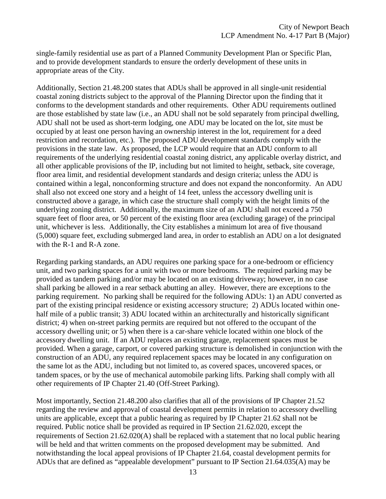single-family residential use as part of a Planned Community Development Plan or Specific Plan, and to provide development standards to ensure the orderly development of these units in appropriate areas of the City.

Additionally, Section 21.48.200 states that ADUs shall be approved in all single-unit residential coastal zoning districts subject to the approval of the Planning Director upon the finding that it conforms to the development standards and other requirements. Other ADU requirements outlined are those established by state law (i.e., an ADU shall not be sold separately from principal dwelling, ADU shall not be used as short-term lodging, one ADU may be located on the lot, site must be occupied by at least one person having an ownership interest in the lot, requirement for a deed restriction and recordation, etc.). The proposed ADU development standards comply with the provisions in the state law. As proposed, the LCP would require that an ADU conform to all requirements of the underlying residential coastal zoning district, any applicable overlay district, and all other applicable provisions of the IP, including but not limited to height, setback, site coverage, floor area limit, and residential development standards and design criteria; unless the ADU is contained within a legal, nonconforming structure and does not expand the nonconformity. An ADU shall also not exceed one story and a height of 14 feet, unless the accessory dwelling unit is constructed above a garage, in which case the structure shall comply with the height limits of the underlying zoning district. Additionally, the maximum size of an ADU shall not exceed a 750 square feet of floor area, or 50 percent of the existing floor area (excluding garage) of the principal unit, whichever is less. Additionally, the City establishes a minimum lot area of five thousand (5,000) square feet, excluding submerged land area, in order to establish an ADU on a lot designated with the R-1 and R-A zone.

Regarding parking standards, an ADU requires one parking space for a one-bedroom or efficiency unit, and two parking spaces for a unit with two or more bedrooms. The required parking may be provided as tandem parking and/or may be located on an existing driveway; however, in no case shall parking be allowed in a rear setback abutting an alley. However, there are exceptions to the parking requirement. No parking shall be required for the following ADUs: 1) an ADU converted as part of the existing principal residence or existing accessory structure; 2) ADUs located within onehalf mile of a public transit; 3) ADU located within an architecturally and historically significant district; 4) when on-street parking permits are required but not offered to the occupant of the accessory dwelling unit; or 5) when there is a car-share vehicle located within one block of the accessory dwelling unit. If an ADU replaces an existing garage, replacement spaces must be provided. When a garage, carport, or covered parking structure is demolished in conjunction with the construction of an ADU, any required replacement spaces may be located in any configuration on the same lot as the ADU, including but not limited to, as covered spaces, uncovered spaces, or tandem spaces, or by the use of mechanical automobile parking lifts. Parking shall comply with all other requirements of IP Chapter 21.40 (Off-Street Parking).

Most importantly, Section 21.48.200 also clarifies that all of the provisions of IP Chapter 21.52 regarding the review and approval of coastal development permits in relation to accessory dwelling units are applicable, except that a public hearing as required by IP Chapter 21.62 shall not be required. Public notice shall be provided as required in IP Section 21.62.020, except the requirements of Section 21.62.020(A) shall be replaced with a statement that no local public hearing will be held and that written comments on the proposed development may be submitted. And notwithstanding the local appeal provisions of IP Chapter 21.64, coastal development permits for ADUs that are defined as "appealable development" pursuant to IP Section 21.64.035(A) may be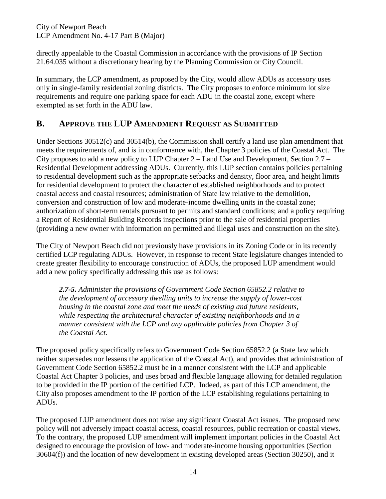City of Newport Beach LCP Amendment No. 4-17 Part B (Major)

directly appealable to the Coastal Commission in accordance with the provisions of IP Section 21.64.035 without a discretionary hearing by the Planning Commission or City Council.

In summary, the LCP amendment, as proposed by the City, would allow ADUs as accessory uses only in single-family residential zoning districts. The City proposes to enforce minimum lot size requirements and require one parking space for each ADU in the coastal zone, except where exempted as set forth in the ADU law.

### <span id="page-13-0"></span>**B. APPROVE THE LUP AMENDMENT REQUEST AS SUBMITTED**

Under Sections 30512(c) and 30514(b), the Commission shall certify a land use plan amendment that meets the requirements of, and is in conformance with, the Chapter 3 policies of the Coastal Act. The City proposes to add a new policy to LUP Chapter 2 – Land Use and Development, Section 2.7 – Residential Development addressing ADUs. Currently, this LUP section contains policies pertaining to residential development such as the appropriate setbacks and density, floor area, and height limits for residential development to protect the character of established neighborhoods and to protect coastal access and coastal resources; administration of State law relative to the demolition, conversion and construction of low and moderate-income dwelling units in the coastal zone; authorization of short-term rentals pursuant to permits and standard conditions; and a policy requiring a Report of Residential Building Records inspections prior to the sale of residential properties (providing a new owner with information on permitted and illegal uses and construction on the site).

The City of Newport Beach did not previously have provisions in its Zoning Code or in its recently certified LCP regulating ADUs. However, in response to recent State legislature changes intended to create greater flexibility to encourage construction of ADUs, the proposed LUP amendment would add a new policy specifically addressing this use as follows:

*2.7-5. Administer the provisions of Government Code Section 65852.2 relative to the development of accessory dwelling units to increase the supply of lower-cost housing in the coastal zone and meet the needs of existing and future residents, while respecting the architectural character of existing neighborhoods and in a manner consistent with the LCP and any applicable policies from Chapter 3 of the Coastal Act.*

The proposed policy specifically refers to Government Code Section 65852.2 (a State law which neither supersedes nor lessens the application of the Coastal Act), and provides that administration of Government Code Section 65852.2 must be in a manner consistent with the LCP and applicable Coastal Act Chapter 3 policies, and uses broad and flexible language allowing for detailed regulation to be provided in the IP portion of the certified LCP. Indeed, as part of this LCP amendment, the City also proposes amendment to the IP portion of the LCP establishing regulations pertaining to ADUs.

The proposed LUP amendment does not raise any significant Coastal Act issues. The proposed new policy will not adversely impact coastal access, coastal resources, public recreation or coastal views. To the contrary, the proposed LUP amendment will implement important policies in the Coastal Act designed to encourage the provision of low- and moderate-income housing opportunities (Section 30604(f)) and the location of new development in existing developed areas (Section 30250), and it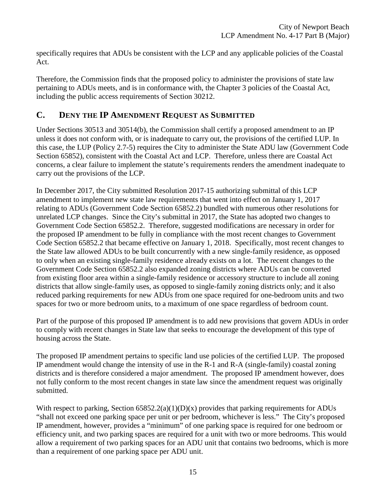specifically requires that ADUs be consistent with the LCP and any applicable policies of the Coastal Act.

Therefore, the Commission finds that the proposed policy to administer the provisions of state law pertaining to ADUs meets, and is in conformance with, the Chapter 3 policies of the Coastal Act, including the public access requirements of Section 30212.

# <span id="page-14-0"></span>**C. DENY THE IP AMENDMENT REQUEST AS SUBMITTED**

Under Sections 30513 and 30514(b), the Commission shall certify a proposed amendment to an IP unless it does not conform with, or is inadequate to carry out, the provisions of the certified LUP. In this case, the LUP (Policy 2.7-5) requires the City to administer the State ADU law (Government Code Section 65852), consistent with the Coastal Act and LCP. Therefore, unless there are Coastal Act concerns, a clear failure to implement the statute's requirements renders the amendment inadequate to carry out the provisions of the LCP.

In December 2017, the City submitted Resolution 2017-15 authorizing submittal of this LCP amendment to implement new state law requirements that went into effect on January 1, 2017 relating to ADUs (Government Code Section 65852.2) bundled with numerous other resolutions for unrelated LCP changes. Since the City's submittal in 2017, the State has adopted two changes to Government Code Section 65852.2. Therefore, suggested modifications are necessary in order for the proposed IP amendment to be fully in compliance with the most recent changes to Government Code Section 65852.2 that became effective on January 1, 2018. Specifically, most recent changes to the State law allowed ADUs to be built concurrently with a new single-family residence, as opposed to only when an existing single-family residence already exists on a lot. The recent changes to the Government Code Section 65852.2 also expanded zoning districts where ADUs can be converted from existing floor area within a single-family residence or accessory structure to include all zoning districts that allow single-family uses, as opposed to single-family zoning districts only; and it also reduced parking requirements for new ADUs from one space required for one-bedroom units and two spaces for two or more bedroom units, to a maximum of one space regardless of bedroom count.

Part of the purpose of this proposed IP amendment is to add new provisions that govern ADUs in order to comply with recent changes in State law that seeks to encourage the development of this type of housing across the State.

The proposed IP amendment pertains to specific land use policies of the certified LUP. The proposed IP amendment would change the intensity of use in the R-1 and R-A (single-family) coastal zoning districts and is therefore considered a major amendment. The proposed IP amendment however, does not fully conform to the most recent changes in state law since the amendment request was originally submitted.

With respect to parking, Section  $65852.2(a)(1)(D)(x)$  provides that parking requirements for ADUs "shall not exceed one parking space per unit or per bedroom, whichever is less." The City's proposed IP amendment, however, provides a "minimum" of one parking space is required for one bedroom or efficiency unit, and two parking spaces are required for a unit with two or more bedrooms. This would allow a requirement of two parking spaces for an ADU unit that contains two bedrooms, which is more than a requirement of one parking space per ADU unit.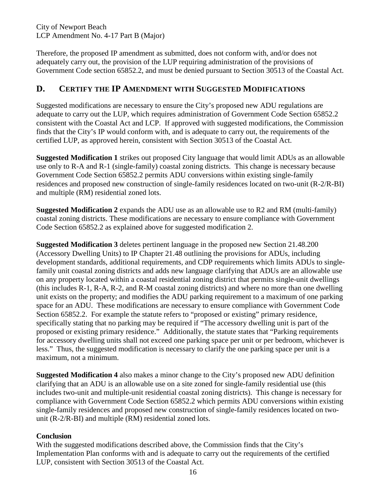City of Newport Beach LCP Amendment No. 4-17 Part B (Major)

Therefore, the proposed IP amendment as submitted, does not conform with, and/or does not adequately carry out, the provision of the LUP requiring administration of the provisions of Government Code section 65852.2, and must be denied pursuant to Section 30513 of the Coastal Act.

### <span id="page-15-0"></span>**D. CERTIFY THE IP AMENDMENT WITH SUGGESTED MODIFICATIONS**

Suggested modifications are necessary to ensure the City's proposed new ADU regulations are adequate to carry out the LUP, which requires administration of Government Code Section 65852.2 consistent with the Coastal Act and LCP. If approved with suggested modifications, the Commission finds that the City's IP would conform with, and is adequate to carry out, the requirements of the certified LUP, as approved herein, consistent with Section 30513 of the Coastal Act.

**Suggested Modification 1** strikes out proposed City language that would limit ADUs as an allowable use only to R-A and R-1 (single-family) coastal zoning districts. This change is necessary because Government Code Section 65852.2 permits ADU conversions within existing single-family residences and proposed new construction of single-family residences located on two-unit (R-2/R-BI) and multiple (RM) residential zoned lots.

**Suggested Modification 2** expands the ADU use as an allowable use to R2 and RM (multi-family) coastal zoning districts. These modifications are necessary to ensure compliance with Government Code Section 65852.2 as explained above for suggested modification 2.

**Suggested Modification 3** deletes pertinent language in the proposed new Section 21.48.200 (Accessory Dwelling Units) to IP Chapter 21.48 outlining the provisions for ADUs, including development standards, additional requirements, and CDP requirements which limits ADUs to singlefamily unit coastal zoning districts and adds new language clarifying that ADUs are an allowable use on any property located within a coastal residential zoning district that permits single-unit dwellings (this includes R-1, R-A, R-2, and R-M coastal zoning districts) and where no more than one dwelling unit exists on the property; and modifies the ADU parking requirement to a maximum of one parking space for an ADU. These modifications are necessary to ensure compliance with Government Code Section 65852.2. For example the statute refers to "proposed or existing" primary residence, specifically stating that no parking may be required if "The accessory dwelling unit is part of the proposed or existing primary residence." Additionally, the statute states that "Parking requirements for accessory dwelling units shall not exceed one parking space per unit or per bedroom, whichever is less." Thus, the suggested modification is necessary to clarify the one parking space per unit is a maximum, not a minimum.

**Suggested Modification 4** also makes a minor change to the City's proposed new ADU definition clarifying that an ADU is an allowable use on a site zoned for single-family residential use (this includes two-unit and multiple-unit residential coastal zoning districts). This change is necessary for compliance with Government Code Section 65852.2 which permits ADU conversions within existing single-family residences and proposed new construction of single-family residences located on twounit (R-2/R-BI) and multiple (RM) residential zoned lots.

#### **Conclusion**

With the suggested modifications described above, the Commission finds that the City's Implementation Plan conforms with and is adequate to carry out the requirements of the certified LUP, consistent with Section 30513 of the Coastal Act.